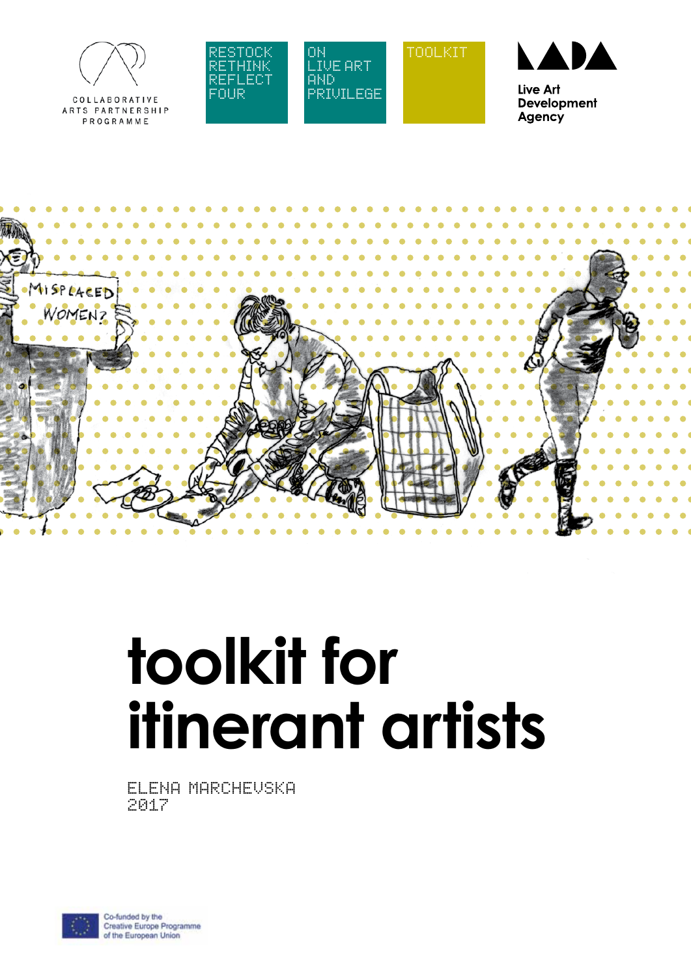

COLLABORATIVE ARTS PARTNERSHIP PROGRAMME





TOOLKIT



Live Art **Development** Agency



# **toolkit for itinerant artists**

ELENA MARCHEVSKA 2017

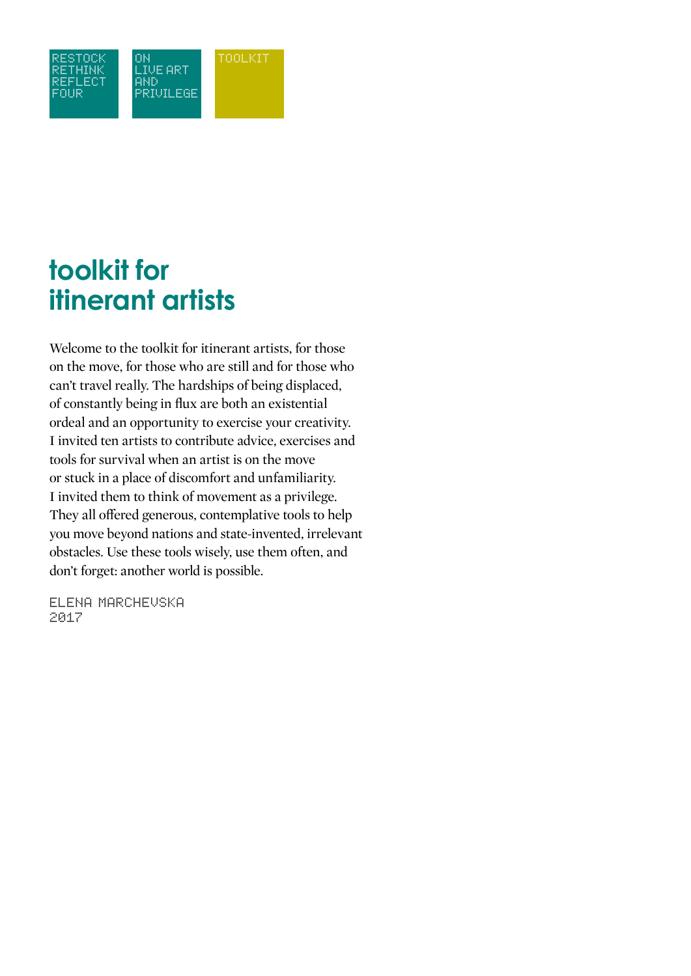

### **toolkit for itinerant artists**

Welcome to the toolkit for itinerant artists, for those on the move, for those who are still and for those who can't travel really. The hardships of being displaced, of constantly being in flux are both an existential ordeal and an opportunity to exercise your creativity. I invited ten artists to contribute advice, exercises and tools for survival when an artist is on the move or stuck in a place of discomfort and unfamiliarity. I invited them to think of movement as a privilege. They all offered generous, contemplative tools to help you move beyond nations and state-invented, irrelevant obstacles. Use these tools wisely, use them often, and don't forget: another world is possible.

elena marchevska 2017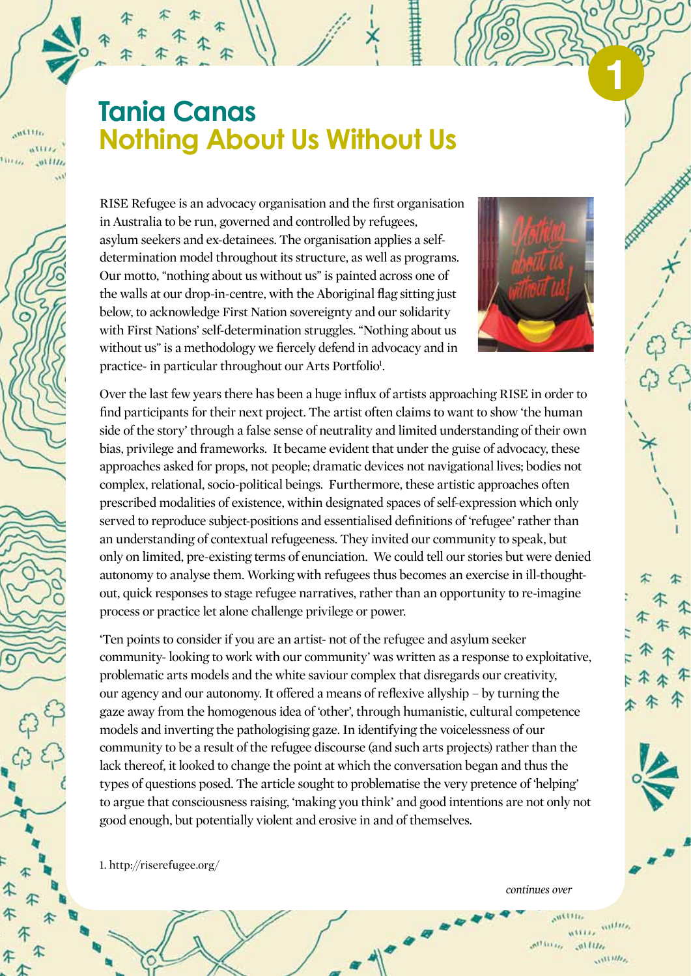### **Tania Canas Nothing About Us Without Us**

 $n^{1111}$ 

RISE Refugee is an advocacy organisation and the first organisation in Australia to be run, governed and controlled by refugees, asylum seekers and ex-detainees. The organisation applies a selfdetermination model throughout its structure, as well as programs. Our motto, "nothing about us without us" is painted across one of the walls at our drop-in-centre, with the Aboriginal flag sitting just below, to acknowledge First Nation sovereignty and our solidarity with First Nations' self-determination struggles. "Nothing about us without us" is a methodology we fiercely defend in advocacy and in practice- in particular throughout our Arts Portfolio<sup>1</sup>.



**1**

Over the last few years there has been a huge influx of artists approaching RISE in order to find participants for their next project. The artist often claims to want to show 'the human side of the story' through a false sense of neutrality and limited understanding of their own bias, privilege and frameworks. It became evident that under the guise of advocacy, these approaches asked for props, not people; dramatic devices not navigational lives; bodies not complex, relational, socio-political beings. Furthermore, these artistic approaches often prescribed modalities of existence, within designated spaces of self-expression which only served to reproduce subject-positions and essentialised definitions of 'refugee' rather than an understanding of contextual refugeeness. They invited our community to speak, but only on limited, pre-existing terms of enunciation. We could tell our stories but were denied autonomy to analyse them. Working with refugees thus becomes an exercise in ill-thoughtout, quick responses to stage refugee narratives, rather than an opportunity to re-imagine process or practice let alone challenge privilege or power.

'Ten points to consider if you are an artist- not of the refugee and asylum seeker community- looking to work with our community' was written as a response to exploitative, problematic arts models and the white saviour complex that disregards our creativity, our agency and our autonomy. It offered a means of reflexive allyship – by turning the gaze away from the homogenous idea of 'other', through humanistic, cultural competence models and inverting the pathologising gaze. In identifying the voicelessness of our community to be a result of the refugee discourse (and such arts projects) rather than the lack thereof, it looked to change the point at which the conversation began and thus the types of questions posed. The article sought to problematise the very pretence of 'helping' to argue that consciousness raising, 'making you think' and good intentions are not only not good enough, but potentially violent and erosive in and of themselves.

1. http://riserefugee.org/

*continues over*

willis,  $n^{11}$  iii  $i_{\ell_{\ell}}$  $0.1111$  $111111$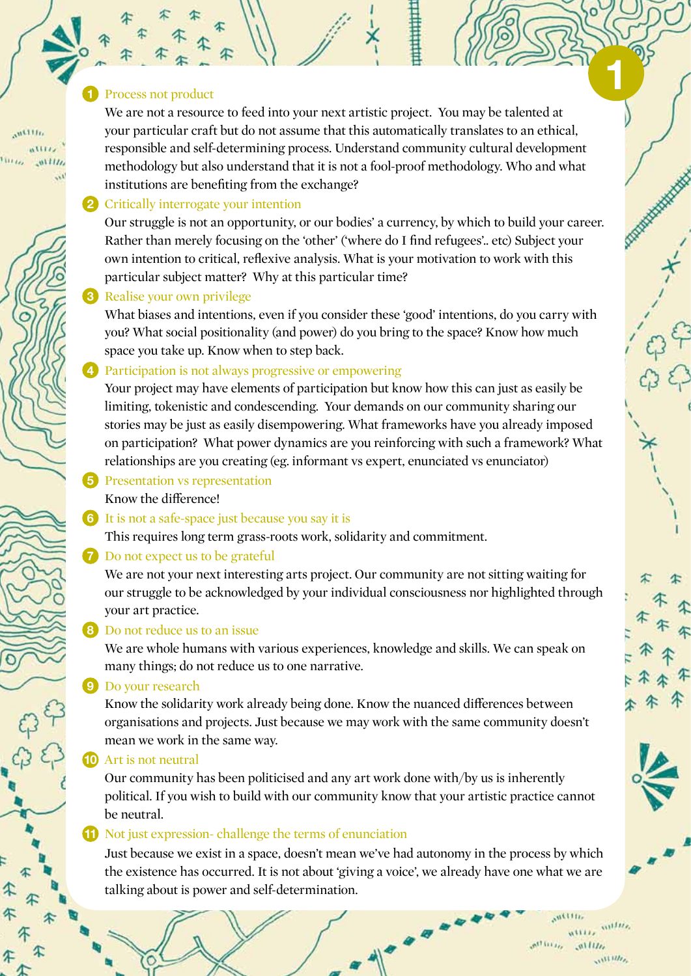#### **1** Process not product

 $m$ <sup>111</sup>

We are not a resource to feed into your next artistic project. You may be talented at your particular craft but do not assume that this automatically translates to an ethical, responsible and self-determining process. Understand community cultural development methodology but also understand that it is not a fool-proof methodology. Who and what institutions are benefiting from the exchange?

#### **2** Critically interrogate your intention

Our struggle is not an opportunity, or our bodies' a currency, by which to build your career. Rather than merely focusing on the 'other' ('where do I find refugees'.. etc) Subject your own intention to critical, reflexive analysis. What is your motivation to work with this particular subject matter? Why at this particular time?

#### **3** Realise your own privilege

What biases and intentions, even if you consider these 'good' intentions, do you carry with you? What social positionality (and power) do you bring to the space? Know how much space you take up. Know when to step back.

#### **4** Participation is not always progressive or empowering

Your project may have elements of participation but know how this can just as easily be limiting, tokenistic and condescending. Your demands on our community sharing our stories may be just as easily disempowering. What frameworks have you already imposed on participation? What power dynamics are you reinforcing with such a framework? What relationships are you creating (eg. informant vs expert, enunciated vs enunciator)

- **5** Presentation vs representation Know the difference!
- **6** It is not a safe-space just because you say it is

This requires long term grass-roots work, solidarity and commitment.

#### **7** Do not expect us to be grateful

We are not your next interesting arts project. Our community are not sitting waiting for our struggle to be acknowledged by your individual consciousness nor highlighted through your art practice.

#### **8** Do not reduce us to an issue

We are whole humans with various experiences, knowledge and skills. We can speak on many things; do not reduce us to one narrative.

#### **9** Do your research

Know the solidarity work already being done. Know the nuanced differences between organisations and projects. Just because we may work with the same community doesn't mean we work in the same way.

#### **10** Art is not neutral

Our community has been politicised and any art work done with/by us is inherently political. If you wish to build with our community know that your artistic practice cannot be neutral.

#### **11** Not just expression- challenge the terms of enunciation

 Just because we exist in a space, doesn't mean we've had autonomy in the process by which the existence has occurred. It is not about 'giving a voice', we already have one what we are talking about is power and self-determination.

 $1111117$ 

 $n1111,$  $n^{11111}$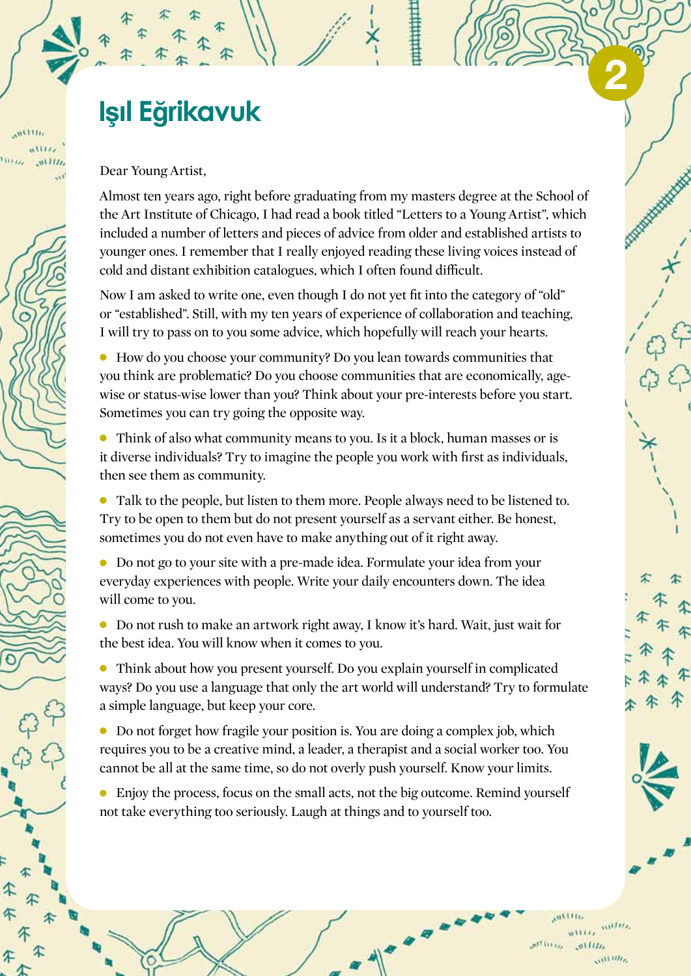### **Işil Eğrikavuk**

Dear Young Artist,

 $n$ illi

Almost ten years ago, right before graduating from my masters degree at the School of the Art Institute of Chicago, I had read a book titled "Letters to a Young Artist", which included a number of letters and pieces of advice from older and established artists to younger ones. I remember that I really enjoyed reading these living voices instead of cold and distant exhibition catalogues, which I often found difficult.

Now I am asked to write one, even though I do not yet fit into the category of "old" or "established". Still, with my ten years of experience of collaboration and teaching, I will try to pass on to you some advice, which hopefully will reach your hearts.

• How do you choose your community? Do you lean towards communities that you think are problematic? Do you choose communities that are economically, agewise or status-wise lower than you? Think about your pre-interests before you start. Sometimes you can try going the opposite way.

• Think of also what community means to you. Is it a block, human masses or is it diverse individuals? Try to imagine the people you work with first as individuals, then see them as community.

• Talk to the people, but listen to them more. People always need to be listened to. Try to be open to them but do not present yourself as a servant either. Be honest, sometimes you do not even have to make anything out of it right away.

• Do not go to your site with a pre-made idea. Formulate your idea from your everyday experiences with people. Write your daily encounters down. The idea will come to you.

<sup>l</sup> Do not rush to make an artwork right away, I know it's hard. Wait, just wait for the best idea. You will know when it comes to you.

• Think about how you present yourself. Do you explain yourself in complicated ways? Do you use a language that only the art world will understand? Try to formulate a simple language, but keep your core.

 $\bullet$  Do not forget how fragile your position is. You are doing a complex job, which requires you to be a creative mind, a leader, a therapist and a social worker too. You cannot be all at the same time, so do not overly push yourself. Know your limits.

<sup>l</sup> Enjoy the process, focus on the small acts, not the big outcome. Remind yourself not take everything too seriously. Laugh at things and to yourself too.



**2**

 $m\nu$  $\mathbf{A}^{\dagger}$  is i.e.  $0.1111$  $111111$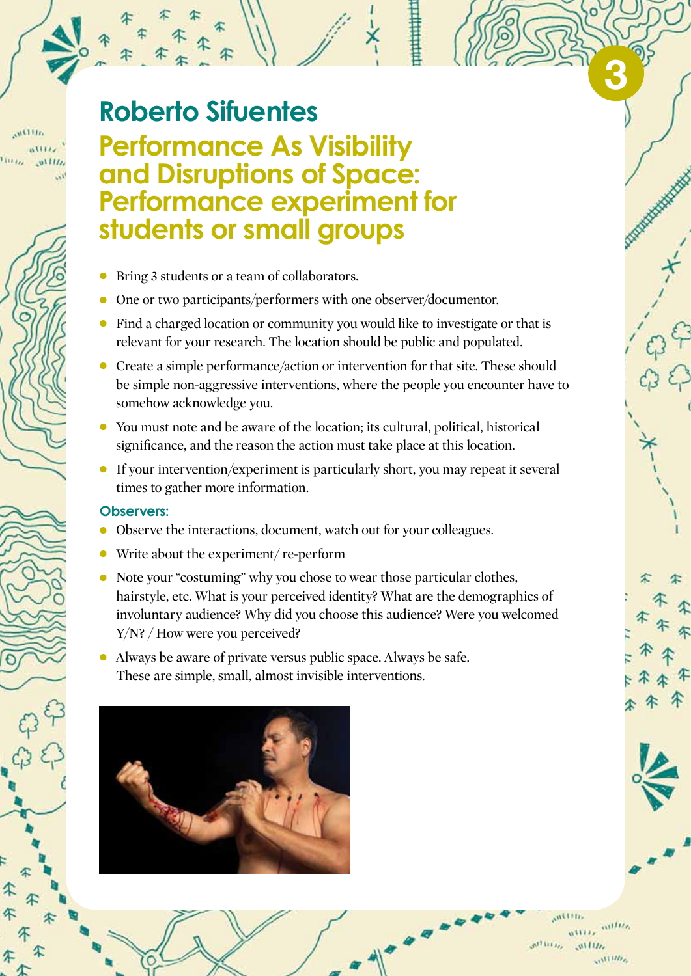### **Roberto Sifuentes**

#### **Performance As Visibility and Disruptions of Space: Performance experiment for students or small groups**

- Bring 3 students or a team of collaborators.
- One or two participants/performers with one observer/documentor.
- Find a charged location or community you would like to investigate or that is relevant for your research. The location should be public and populated.
- Create a simple performance/action or intervention for that site. These should be simple non-aggressive interventions, where the people you encounter have to somehow acknowledge you.
- <sup>l</sup> You must note and be aware of the location; its cultural, political, historical significance, and the reason the action must take place at this location.
- $\bullet$  If your intervention/experiment is particularly short, you may repeat it several times to gather more information.

#### **Observers:**

- Observe the interactions, document, watch out for your colleagues.
- $\bullet$  Write about the experiment/ re-perform
- Note your "costuming" why you chose to wear those particular clothes, hairstyle, etc. What is your perceived identity? What are the demographics of involuntary audience? Why did you choose this audience? Were you welcomed Y/N? / How were you perceived?
- $\bullet$  Always be aware of private versus public space. Always be safe. These are simple, small, almost invisible interventions.



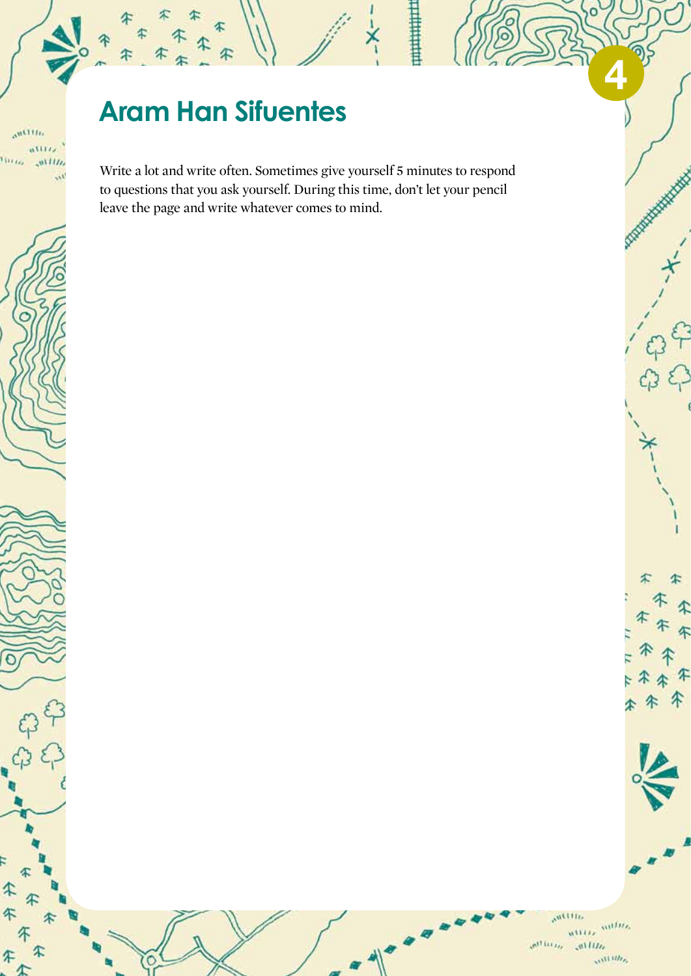### **Aram Han Sifuentes**

 $\alpha^{n111n}$ attra,

 $01117$ 

Turris.

Đ

€

4

Write a lot and write often. Sometimes give yourself 5 minutes to respond to questions that you ask yourself. During this time, don't let your pencil leave the page and write whatever comes to mind.

> $50111117$  $\frac{m}{m_{\rm HMS}}$   $\frac{m_{\rm HMS}}{m_{\rm HMS}}$  $\mathcal{P}_{\text{H}}(t)$  and  $n$ llln  $\mathcal{M}^{1111IIj}$

**4**

**Company of the American** 

丈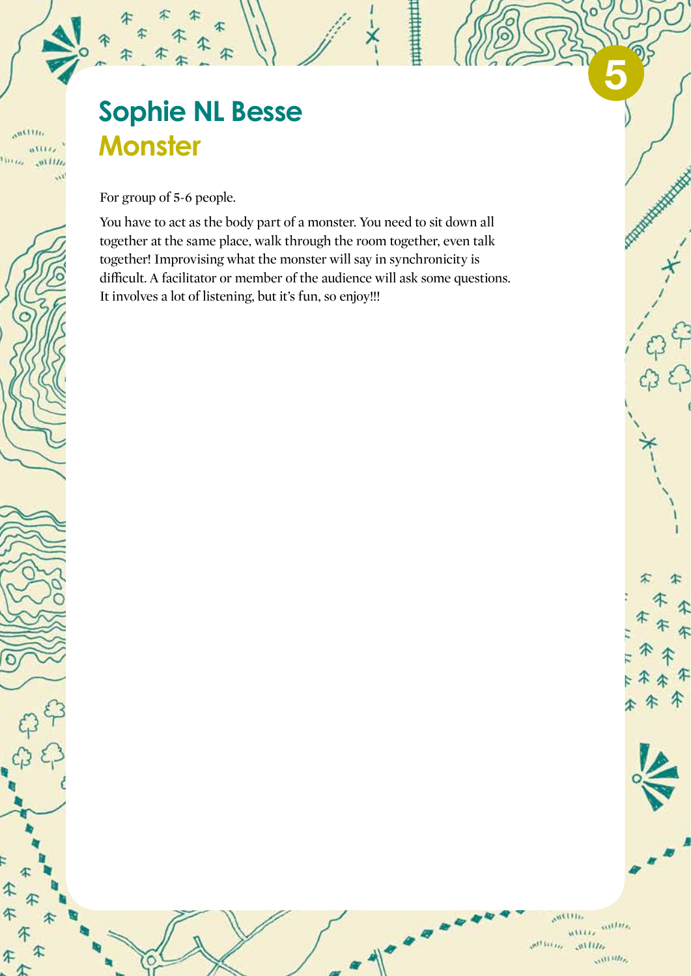### **Sophie NL Besse Monster**

For group of 5-6 people.

 $\alpha$ <sup>Willia</sup> attriz

litte

T

45

You have to act as the body part of a monster. You need to sit down all together at the same place, walk through the room together, even talk together! Improvising what the monster will say in synchronicity is difficult. A facilitator or member of the audience will ask some questions. It involves a lot of listening, but it's fun, so enjoy!!!

> $5011116$ *millie*.  $n$ tiis,  $\alpha^{111111}$  $allu$  $\mathcal{M}^{(1111)}$

**5**

≭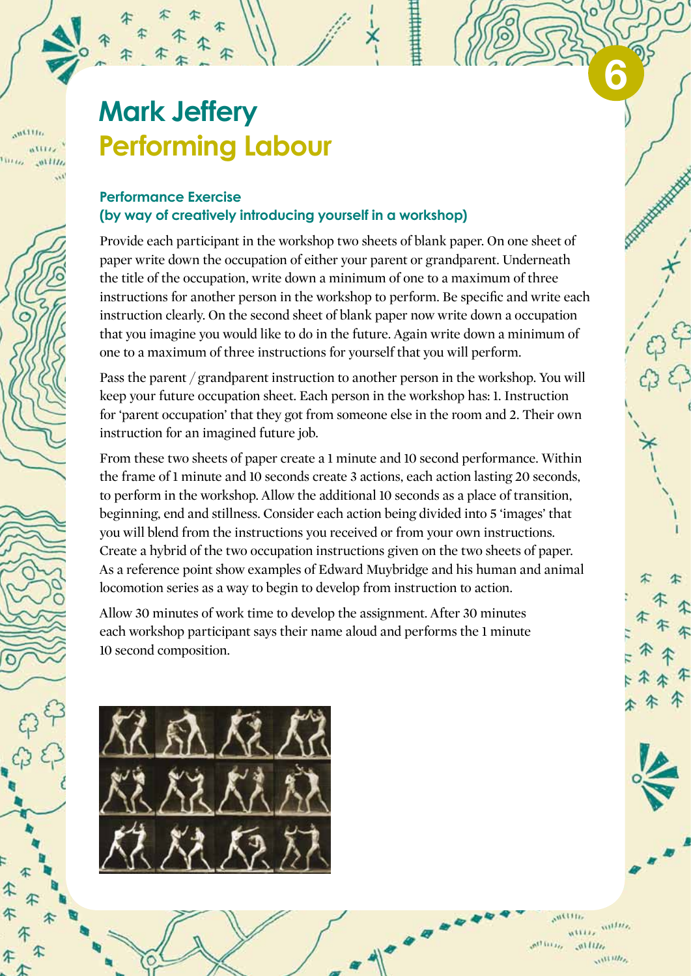### **Mark Jeffery Performing Labour**

 $m$ <sub>111</sub>

#### **Performance Exercise (by way of creatively introducing yourself in a workshop)**

Provide each participant in the workshop two sheets of blank paper. On one sheet of paper write down the occupation of either your parent or grandparent. Underneath the title of the occupation, write down a minimum of one to a maximum of three instructions for another person in the workshop to perform. Be specific and write each instruction clearly. On the second sheet of blank paper now write down a occupation that you imagine you would like to do in the future. Again write down a minimum of one to a maximum of three instructions for yourself that you will perform.

Pass the parent / grandparent instruction to another person in the workshop. You will keep your future occupation sheet. Each person in the workshop has: 1. Instruction for 'parent occupation' that they got from someone else in the room and 2. Their own instruction for an imagined future job.

From these two sheets of paper create a 1 minute and 10 second performance. Within the frame of 1 minute and 10 seconds create 3 actions, each action lasting 20 seconds, to perform in the workshop. Allow the additional 10 seconds as a place of transition, beginning, end and stillness. Consider each action being divided into 5 'images' that you will blend from the instructions you received or from your own instructions. Create a hybrid of the two occupation instructions given on the two sheets of paper. As a reference point show examples of Edward Muybridge and his human and animal locomotion series as a way to begin to develop from instruction to action.

Allow 30 minutes of work time to develop the assignment. After 30 minutes each workshop participant says their name aloud and performs the 1 minute 10 second composition.



 $m\nu$  $\mathcal{M}$  is i.i.  $0.1111$  $\mathcal{M}^{III}$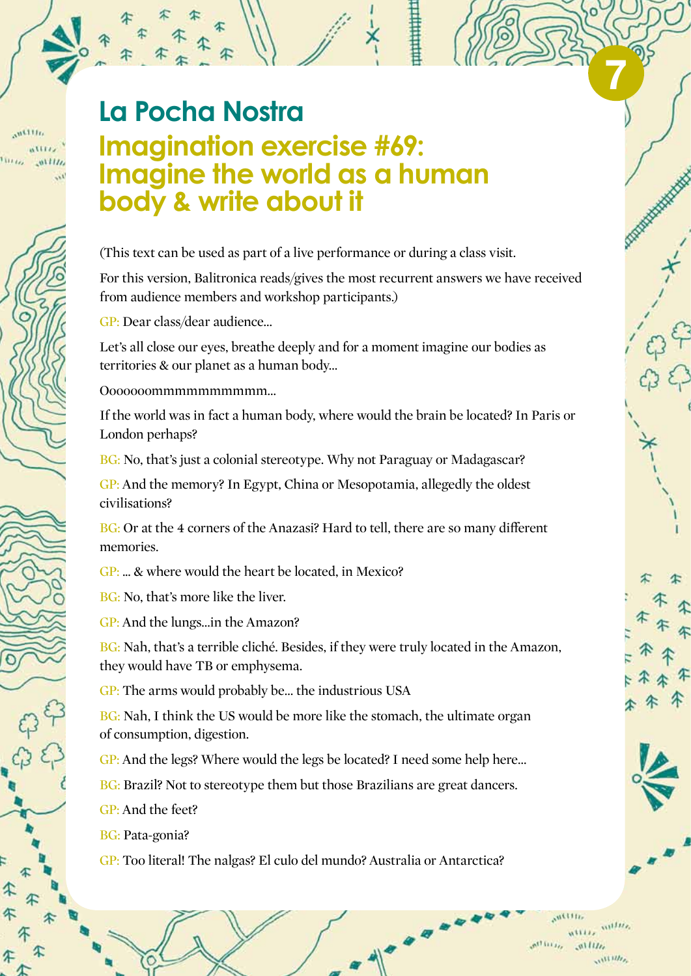## $n$ <sup>111</sup>

### **La Pocha Nostra Imagination exercise #69: Imagine the world as a human body & write about it**

(This text can be used as part of a live performance or during a class visit.

For this version, Balitronica reads/gives the most recurrent answers we have received from audience members and workshop participants.)

GP: Dear class/dear audience…

Let's all close our eyes, breathe deeply and for a moment imagine our bodies as territories & our planet as a human body…

Ooooooommmmmmmmmm…

If the world was in fact a human body, where would the brain be located? In Paris or London perhaps?

BG: No, that's just a colonial stereotype. Why not Paraguay or Madagascar?

GP: And the memory? In Egypt, China or Mesopotamia, allegedly the oldest civilisations?

BG: Or at the 4 corners of the Anazasi? Hard to tell, there are so many different memories.

GP: ... & where would the heart be located, in Mexico?

BG: No, that's more like the liver.

GP: And the lungs…in the Amazon?

BG: Nah, that's a terrible cliché. Besides, if they were truly located in the Amazon, they would have TB or emphysema.

GP: The arms would probably be… the industrious USA

BG: Nah, I think the US would be more like the stomach, the ultimate organ of consumption, digestion.

GP: And the legs? Where would the legs be located? I need some help here...

BG: Brazil? Not to stereotype them but those Brazilians are great dancers.

- GP: And the feet?
- BG: Pata-gonia?

GP: Too literal! The nalgas? El culo del mundo? Australia or Antarctica?

 $1111117$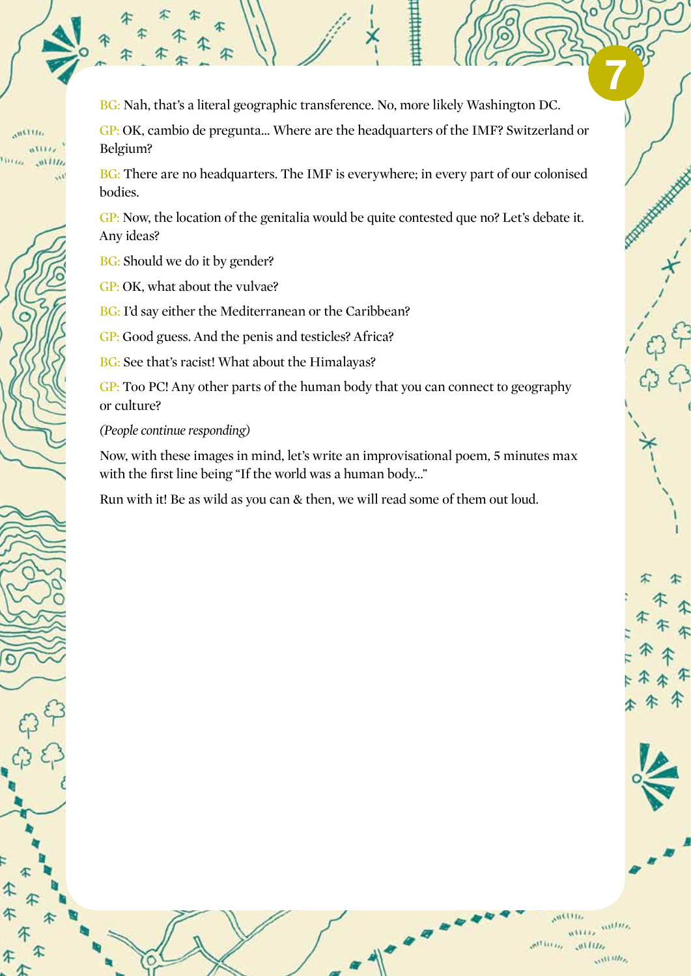BG: Nah, that's a literal geographic transference. No, more likely Washington DC.

GP: OK, cambio de pregunta… Where are the headquarters of the IMF? Switzerland or Belgium?

BG: There are no headquarters. The IMF is everywhere; in every part of our colonised bodies.

GP: Now, the location of the genitalia would be quite contested que no? Let's debate it. Any ideas?

BG: Should we do it by gender?

GP: OK, what about the vulvae?

BG: I'd say either the Mediterranean or the Caribbean?

GP: Good guess. And the penis and testicles? Africa?

BG: See that's racist! What about the Himalayas?

GP: Too PC! Any other parts of the human body that you can connect to geography or culture?

*(People continue responding)*

Now, with these images in mind, let's write an improvisational poem, 5 minutes max with the first line being "If the world was a human body…"

Run with it! Be as wild as you can & then, we will read some of them out loud.



**7**

 $n$ <sub>1111</sub>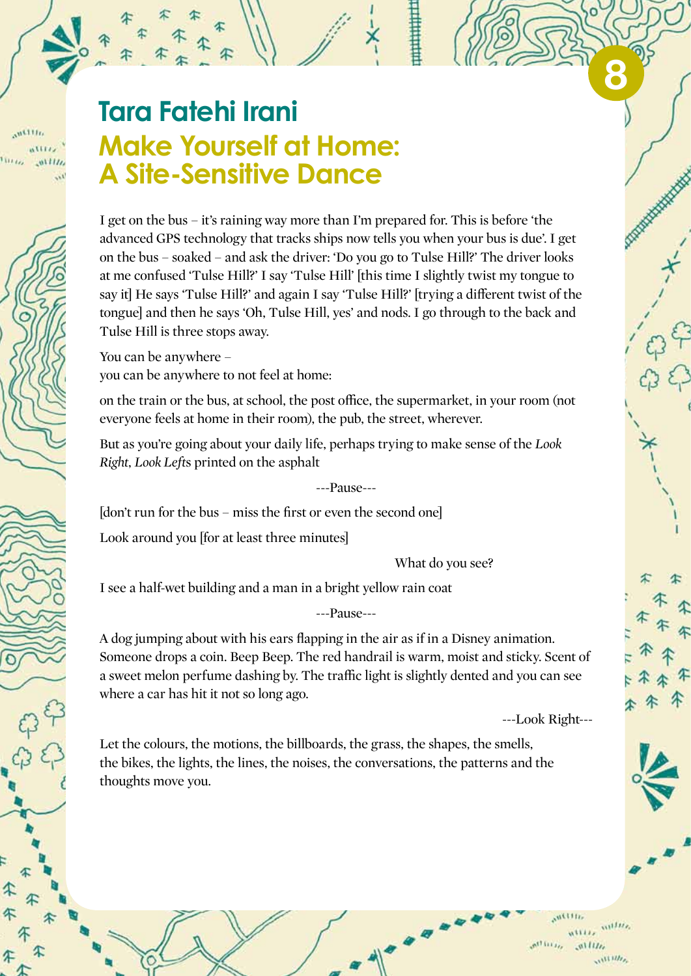### **Tara Fatehi Irani Make Yourself at Home: A Site-Sensitive Dance**

I get on the bus – it's raining way more than I'm prepared for. This is before 'the advanced GPS technology that tracks ships now tells you when your bus is due'. I get on the bus – soaked – and ask the driver: 'Do you go to Tulse Hill?' The driver looks at me confused 'Tulse Hill?' I say 'Tulse Hill' [this time I slightly twist my tongue to say it] He says 'Tulse Hill?' and again I say 'Tulse Hill?' [trying a different twist of the tongue] and then he says 'Oh, Tulse Hill, yes' and nods. I go through to the back and Tulse Hill is three stops away.

You can be anywhere – you can be anywhere to not feel at home:

on the train or the bus, at school, the post office, the supermarket, in your room (not everyone feels at home in their room), the pub, the street, wherever.

But as you're going about your daily life, perhaps trying to make sense of the *Look Right, Look Left*s printed on the asphalt

---Pause---

[don't run for the bus – miss the first or even the second one]

Look around you [for at least three minutes]

What do you see?

I see a half-wet building and a man in a bright yellow rain coat

---Pause---

A dog jumping about with his ears flapping in the air as if in a Disney animation. Someone drops a coin. Beep Beep. The red handrail is warm, moist and sticky. Scent of a sweet melon perfume dashing by. The traffic light is slightly dented and you can see where a car has hit it not so long ago.

---Look Right---

Let the colours, the motions, the billboards, the grass, the shapes, the smells, the bikes, the lights, the lines, the noises, the conversations, the patterns and the thoughts move you.

**8**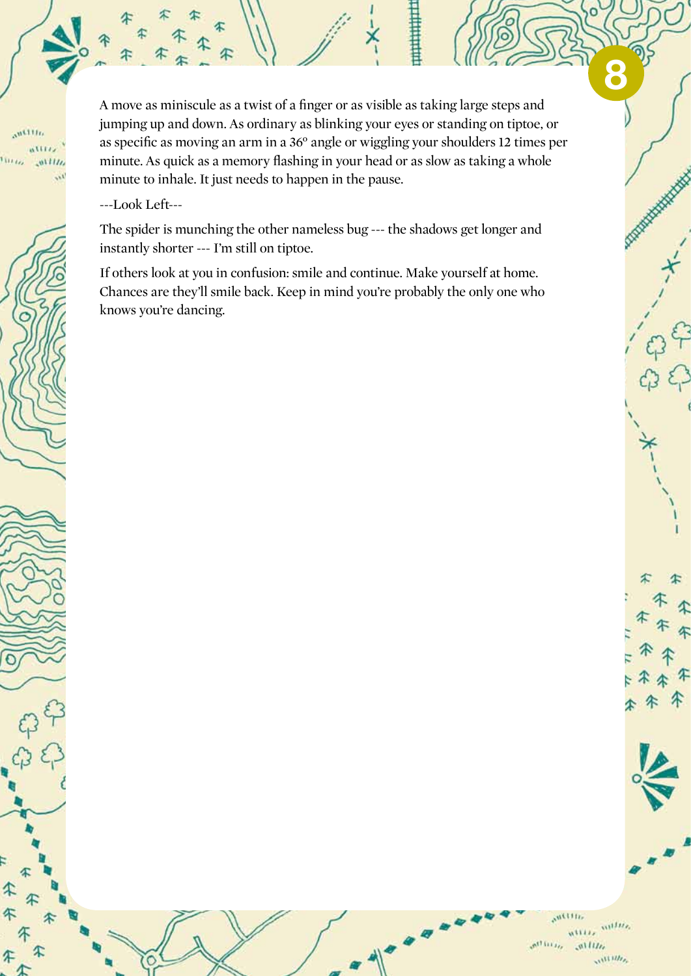A move as miniscule as a twist of a finger or as visible as taking large steps and jumping up and down. As ordinary as blinking your eyes or standing on tiptoe, or as specific as moving an arm in a 36° angle or wiggling your shoulders 12 times per minute. As quick as a memory flashing in your head or as slow as taking a whole minute to inhale. It just needs to happen in the pause.

---Look Left---

The spider is munching the other nameless bug --- the shadows get longer and instantly shorter --- I'm still on tiptoe.

If others look at you in confusion: smile and continue. Make yourself at home. Chances are they'll smile back. Keep in mind you're probably the only one who knows you're dancing.



**8**

 $n^{1111n}$ 

**WEE**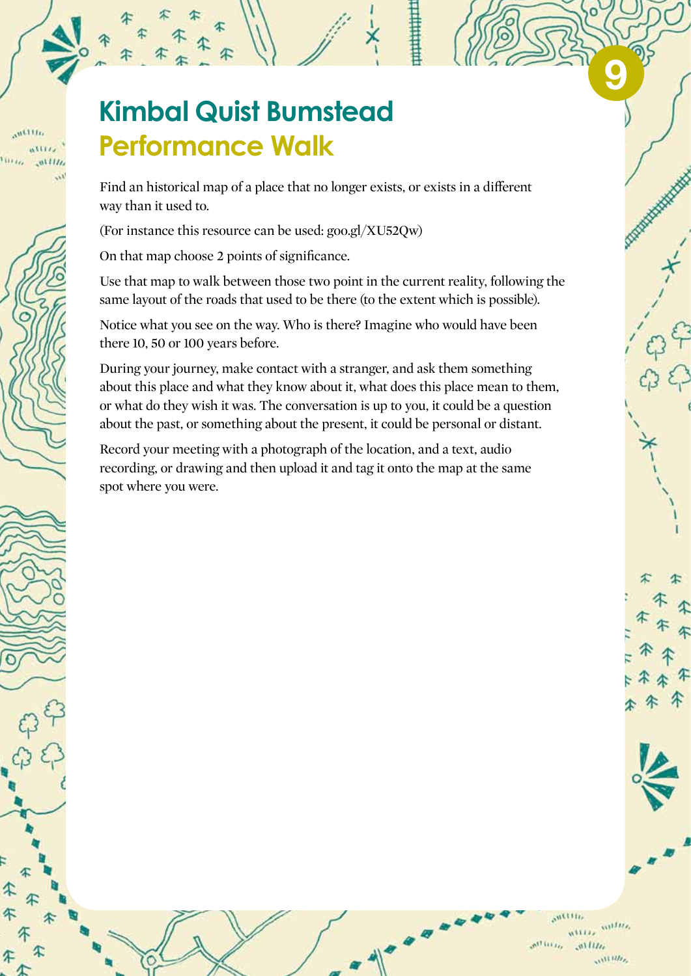## $n$ <sup>111</sup>

### **Kimbal Quist Bumstead Performance Walk**

Find an historical map of a place that no longer exists, or exists in a different way than it used to.

(For instance this resource can be used: goo.gl/XU52Qw)

On that map choose 2 points of significance.

Use that map to walk between those two point in the current reality, following the same layout of the roads that used to be there (to the extent which is possible).

Notice what you see on the way. Who is there? Imagine who would have been there 10, 50 or 100 years before.

During your journey, make contact with a stranger, and ask them something about this place and what they know about it, what does this place mean to them, or what do they wish it was. The conversation is up to you, it could be a question about the past, or something about the present, it could be personal or distant.

Record your meeting with a photograph of the location, and a text, audio recording, or drawing and then upload it and tag it onto the map at the same spot where you were.

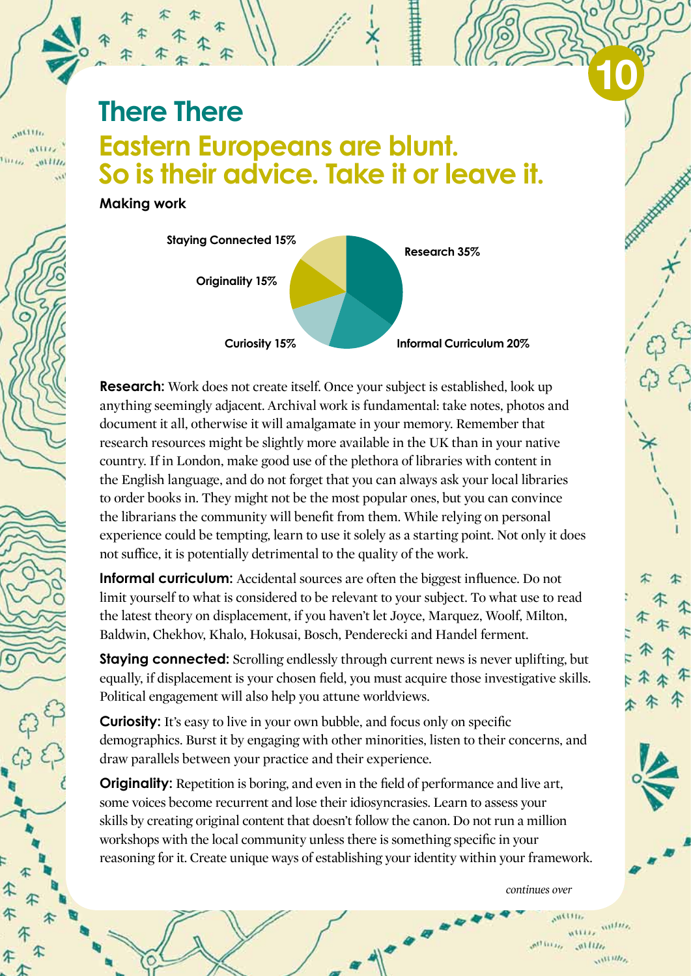$n$ <sup>111</sup>

### **There There Eastern Europeans are blunt. So is their advice. Take it or leave it.**

**Making work**



**Research:** Work does not create itself. Once your subject is established, look up anything seemingly adjacent. Archival work is fundamental: take notes, photos and document it all, otherwise it will amalgamate in your memory. Remember that research resources might be slightly more available in the UK than in your native country. If in London, make good use of the plethora of libraries with content in the English language, and do not forget that you can always ask your local libraries to order books in. They might not be the most popular ones, but you can convince the librarians the community will benefit from them. While relying on personal experience could be tempting, learn to use it solely as a starting point. Not only it does not suffice, it is potentially detrimental to the quality of the work.

**Informal curriculum:** Accidental sources are often the biggest influence. Do not limit yourself to what is considered to be relevant to your subject. To what use to read the latest theory on displacement, if you haven't let Joyce, Marquez, Woolf, Milton, Baldwin, Chekhov, Khalo, Hokusai, Bosch, Penderecki and Handel ferment.

**Staying connected:** Scrolling endlessly through current news is never uplifting, but equally, if displacement is your chosen field, you must acquire those investigative skills. Political engagement will also help you attune worldviews.

**Curiosity:** It's easy to live in your own bubble, and focus only on specific demographics. Burst it by engaging with other minorities, listen to their concerns, and draw parallels between your practice and their experience.

**Originality:** Repetition is boring, and even in the field of performance and live art. some voices become recurrent and lose their idiosyncrasies. Learn to assess your skills by creating original content that doesn't follow the canon. Do not run a million workshops with the local community unless there is something specific in your reasoning for it. Create unique ways of establishing your identity within your framework.

*continues over*

 $m\nu$  $\mathbf{a}^{(1)}$  is  $\mathbf{a}_n$  $011111$  $\mathcal{M}^{III}$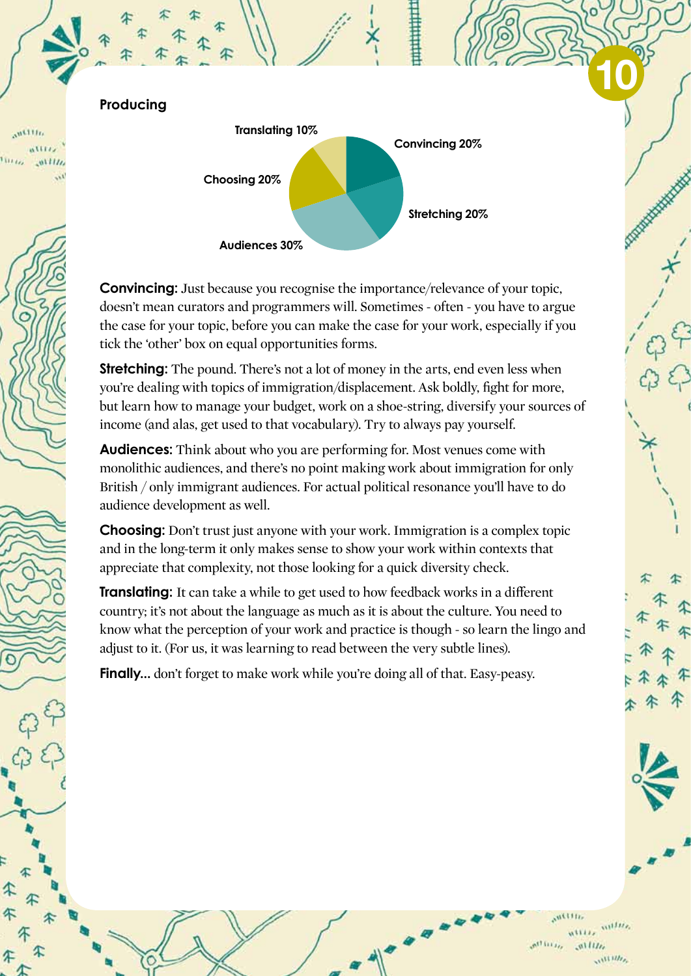**Producing** 

 $n$ illi



**Convincing:** Just because you recognise the importance/relevance of your topic, doesn't mean curators and programmers will. Sometimes - often - you have to argue the case for your topic, before you can make the case for your work, especially if you tick the 'other' box on equal opportunities forms.

**Stretching:** The pound. There's not a lot of money in the arts, end even less when you're dealing with topics of immigration/displacement. Ask boldly, fight for more, but learn how to manage your budget, work on a shoe-string, diversify your sources of income (and alas, get used to that vocabulary). Try to always pay yourself.

**Audiences:** Think about who you are performing for. Most venues come with monolithic audiences, and there's no point making work about immigration for only British / only immigrant audiences. For actual political resonance you'll have to do audience development as well.

**Choosing:** Don't trust just anyone with your work. Immigration is a complex topic and in the long-term it only makes sense to show your work within contexts that appreciate that complexity, not those looking for a quick diversity check.

**Translating:** It can take a while to get used to how feedback works in a different country; it's not about the language as much as it is about the culture. You need to know what the perception of your work and practice is though - so learn the lingo and adjust to it. (For us, it was learning to read between the very subtle lines).

**Finally...** don't forget to make work while you're doing all of that. Easy-peasy.

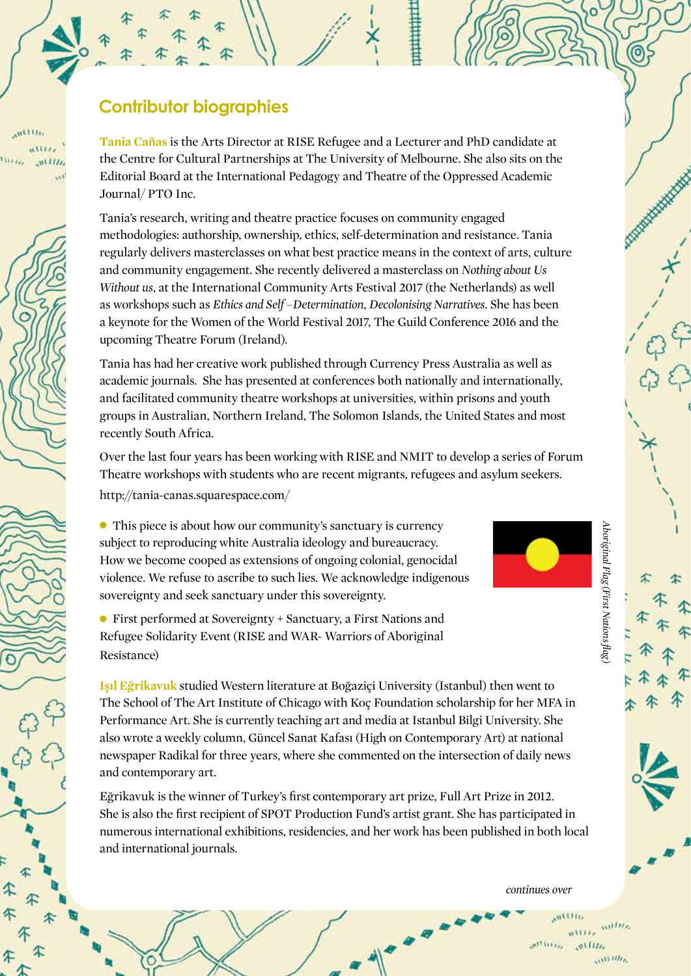**Contributor biographies**

**Tania Cañas** is the Arts Director at RISE Refugee and a Lecturer and PhD candidate at the Centre for Cultural Partnerships at The University of Melbourne. She also sits on the Editorial Board at the International Pedagogy and Theatre of the Oppressed Academic Journal/ PTO Inc.

Tania's research, writing and theatre practice focuses on community engaged methodologies: authorship, ownership, ethics, self-determination and resistance. Tania regularly delivers masterclasses on what best practice means in the context of arts, culture and community engagement. She recently delivered a masterclass on *Nothing about Us Without us*, at the International Community Arts Festival 2017 (the Netherlands) as well as workshops such as *Ethics and Self –Determination*, *Decolonising Narratives*. She has been a keynote for the Women of the World Festival 2017, The Guild Conference 2016 and the upcoming Theatre Forum (Ireland).

Tania has had her creative work published through Currency Press Australia as well as academic journals. She has presented at conferences both nationally and internationally, and facilitated community theatre workshops at universities, within prisons and youth groups in Australian, Northern Ireland, The Solomon Islands, the United States and most recently South Africa.

Over the last four years has been working with RISE and NMIT to develop a series of Forum Theatre workshops with students who are recent migrants, refugees and asylum seekers. http://tania-canas.squarespace.com/

• This piece is about how our community's sanctuary is currency subject to reproducing white Australia ideology and bureaucracy. How we become cooped as extensions of ongoing colonial, genocidal violence. We refuse to ascribe to such lies. We acknowledge indigenous sovereignty and seek sanctuary under this sovereignty.

l First performed at Sovereignty + Sanctuary, a First Nations and Refugee Solidarity Event (RISE and WAR- Warriors of Aboriginal Resistance)

**Işıl Eğrikavuk** studied Western literature at Boğaziçi University (Istanbul) then went to The School of The Art Institute of Chicago with Koç Foundation scholarship for her MFA in Performance Art. She is currently teaching art and media at Istanbul Bilgi University. She also wrote a weekly column, Güncel Sanat Kafası (High on Contemporary Art) at national newspaper Radikal for three years, where she commented on the intersection of daily news and contemporary art.

Eğrikavuk is the winner of Turkey's first contemporary art prize, Full Art Prize in 2012. She is also the first recipient of SPOT Production Fund's artist grant. She has participated in numerous international exhibitions, residencies, and her work has been published in both local and international journals.

*continues over*

 $1111177$  $\mathcal{M}$  is i.i.  $0.1111$  $\mathcal{M}^{III}$ 



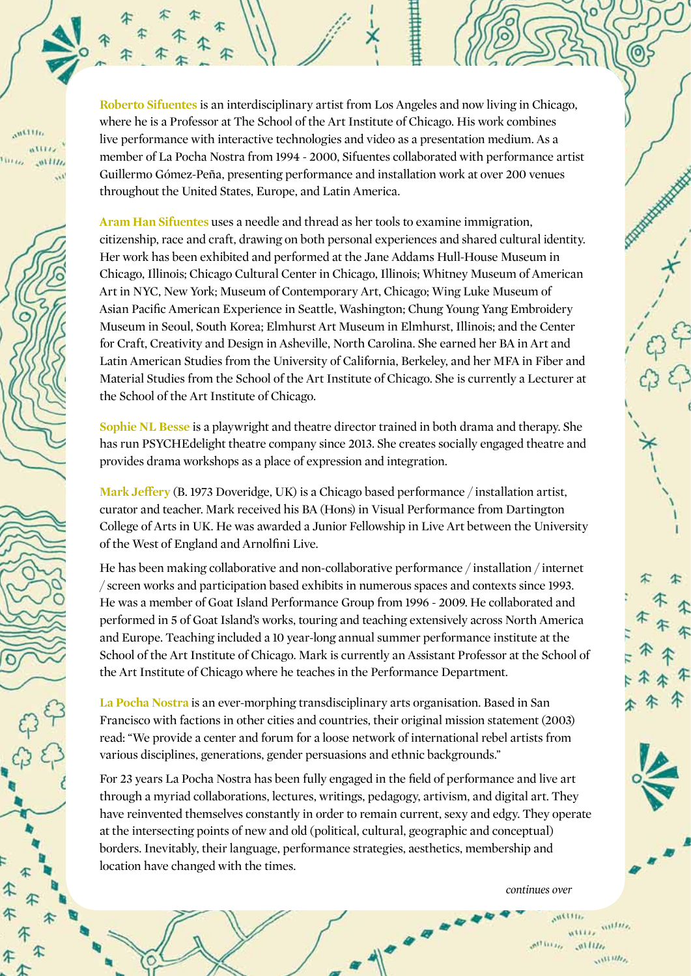**Roberto Sifuentes** is an interdisciplinary artist from Los Angeles and now living in Chicago, where he is a Professor at The School of the Art Institute of Chicago. His work combines live performance with interactive technologies and video as a presentation medium. As a member of La Pocha Nostra from 1994 - 2000, Sifuentes collaborated with performance artist Guillermo Gómez-Peña, presenting performance and installation work at over 200 venues throughout the United States, Europe, and Latin America.

**Aram Han Sifuentes** uses a needle and thread as her tools to examine immigration, citizenship, race and craft, drawing on both personal experiences and shared cultural identity. Her work has been exhibited and performed at the Jane Addams Hull-House Museum in Chicago, Illinois; Chicago Cultural Center in Chicago, Illinois; Whitney Museum of American Art in NYC, New York; Museum of Contemporary Art, Chicago; Wing Luke Museum of Asian Pacific American Experience in Seattle, Washington; Chung Young Yang Embroidery Museum in Seoul, South Korea; Elmhurst Art Museum in Elmhurst, Illinois; and the Center for Craft, Creativity and Design in Asheville, North Carolina. She earned her BA in Art and Latin American Studies from the University of California, Berkeley, and her MFA in Fiber and Material Studies from the School of the Art Institute of Chicago. She is currently a Lecturer at the School of the Art Institute of Chicago.

**Sophie NL Besse** is a playwright and theatre director trained in both drama and therapy. She has run PSYCHEdelight theatre company since 2013. She creates socially engaged theatre and provides drama workshops as a place of expression and integration.

**Mark Jeffery** (B. 1973 Doveridge, UK) is a Chicago based performance / installation artist, curator and teacher. Mark received his BA (Hons) in Visual Performance from Dartington College of Arts in UK. He was awarded a Junior Fellowship in Live Art between the University of the West of England and Arnolfini Live.

He has been making collaborative and non-collaborative performance / installation / internet / screen works and participation based exhibits in numerous spaces and contexts since 1993. He was a member of Goat Island Performance Group from 1996 - 2009. He collaborated and performed in 5 of Goat Island's works, touring and teaching extensively across North America and Europe. Teaching included a 10 year-long annual summer performance institute at the School of the Art Institute of Chicago. Mark is currently an Assistant Professor at the School of the Art Institute of Chicago where he teaches in the Performance Department.

**La Pocha Nostra** is an ever-morphing transdisciplinary arts organisation. Based in San Francisco with factions in other cities and countries, their original mission statement (2003) read: "We provide a center and forum for a loose network of international rebel artists from various disciplines, generations, gender persuasions and ethnic backgrounds."

For 23 years La Pocha Nostra has been fully engaged in the field of performance and live art through a myriad collaborations, lectures, writings, pedagogy, artivism, and digital art. They have reinvented themselves constantly in order to remain current, sexy and edgy. They operate at the intersecting points of new and old (political, cultural, geographic and conceptual) borders. Inevitably, their language, performance strategies, aesthetics, membership and location have changed with the times.

*continues over*

 $\mathbf{A}^{11}$  i i  $\mathbf{r}_{t_2}$  $011111$  $111111$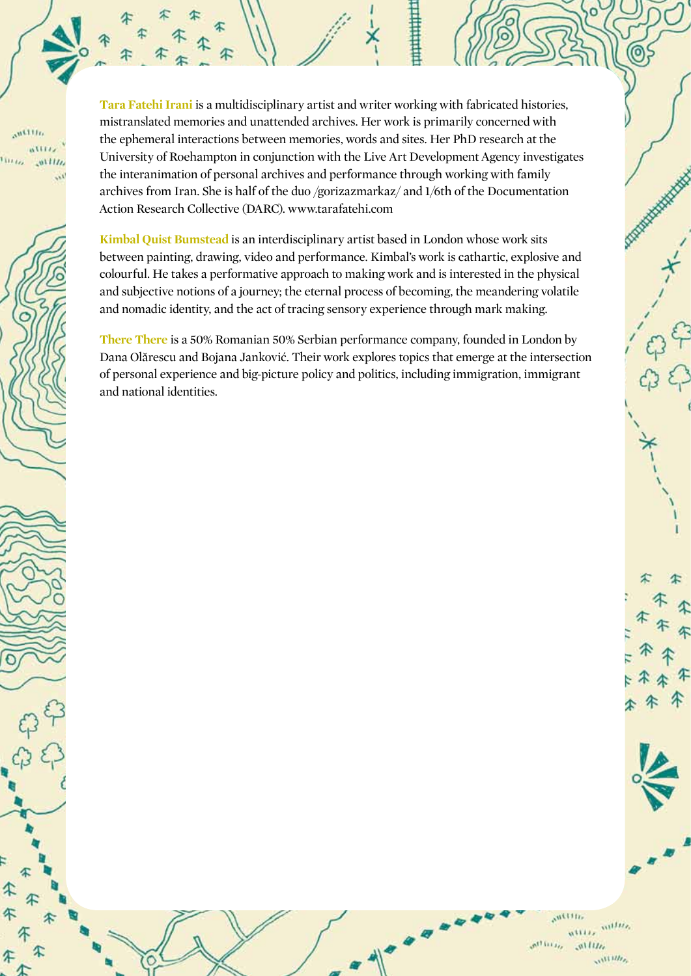**Tara Fatehi Irani** is a multidisciplinary artist and writer working with fabricated histories, mistranslated memories and unattended archives. Her work is primarily concerned with the ephemeral interactions between memories, words and sites. Her PhD research at the University of Roehampton in conjunction with the Live Art Development Agency investigates the interanimation of personal archives and performance through working with family archives from Iran. She is half of the duo /gorizazmarkaz/ and 1/6th of the Documentation Action Research Collective (DARC). www.tarafatehi.com

**Kimbal Quist Bumstead** is an interdisciplinary artist based in London whose work sits between painting, drawing, video and performance. Kimbal's work is cathartic, explosive and colourful. He takes a performative approach to making work and is interested in the physical and subjective notions of a journey; the eternal process of becoming, the meandering volatile and nomadic identity, and the act of tracing sensory experience through mark making.

**There There** is a 50% Romanian 50% Serbian performance company, founded in London by Dana Olărescu and Bojana Janković. Their work explores topics that emerge at the intersection of personal experience and big-picture policy and politics, including immigration, immigrant and national identities.